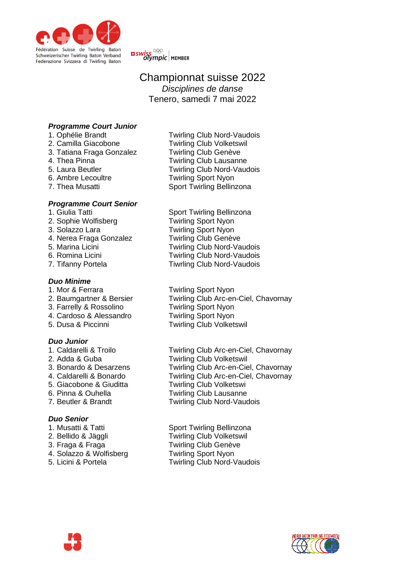

<mark>¤ swiss <sup>©©</sup><br>©lympic |</mark> мемвек

# Championnat suisse 2022 *Disciplines de danse* Tenero, samedi 7 mai 2022

# *Programme Court Junior*

- 
- 
- 3. Tatiana Fraga Gonzalez<br>4. Thea Pinna
- 
- 
- 
- 

# *Programme Court Senior*

- 
- 
- 
- 4. Nerea Fraga Gonzalez Twirling Club Genève
- 
- 
- 

## *Duo Minime*

- 
- 
- 3. Farrelly & Rossolino Twirling Sport Nyon
- 4. Cardoso & Alessandro Twirling Sport Nyon
- 

# *Duo Junior*

- 
- 
- 
- 
- 
- 
- 

# *Duo Senior*

- 
- 
- 
- 4. Solazzo & Wolfisberg Twirling Sport Nyon
- 
- 1. Ophélie Brandt Twirling Club Nord-Vaudois 2. Camilla Giacobone Twirling Club Volketswil<br>3. Tatiana Fraga Gonzalez Twirling Club Genève **Twirling Club Lausanne** 5. Laura Beutler Twirling Club Nord-Vaudois 6. Ambre Lecoultre Twirling Sport Nyon 7. Thea Musatti Sport Twirling Bellinzona
- 1. Giulia Tatti **Sport Twirling Bellinzona**<br>1. Sophie Wolfisberg **Super Service Twirling Sport Nyon Twirling Sport Nyon** 3. Solazzo Lara Twirling Sport Nyon 5. Marina Licini Twirling Club Nord-Vaudois 6. Romina Licini Twirling Club Nord-Vaudois 7. Tifanny Portela **Tiwrling Club Nord-Vaudois**
- 1. Mor & Ferrara Twirling Sport Nyon 2. Baumgartner & Bersier Twirling Club Arc-en-Ciel, Chavornay 5. Dusa & Piccinni Twirling Club Volketswil
- 1. Caldarelli & Troilo Twirling Club Arc-en-Ciel, Chavornay 2. Adda & Guba Twirling Club Volketswil 3. Bonardo & Desarzens Twirling Club Arc-en-Ciel, Chavornay 4. Caldarelli & Bonardo Twirling Club Arc-en-Ciel, Chavornay 5. Giacobone & Giuditta Twirling Club Volketswi 6. Pinna & Ouhella Twirling Club Lausanne 7. Beutler & Brandt Twirling Club Nord-Vaudois
- 1. Musatti & Tatti **Sport Twirling Bellinzona** 2. Bellido & Jäggli Twirling Club Volketswil 3. Fraga & Fraga Twirling Club Genève 5. Licini & Portela Twirling Club Nord-Vaudois



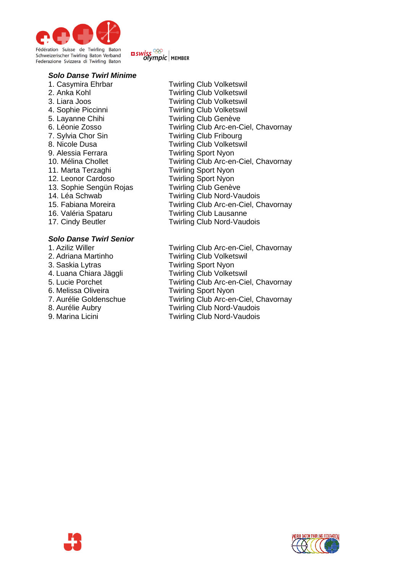

# **¤** swiss <sup>ooo</sup><br>Olympic | MEMBER

## *Solo Danse Twirl Minime*

- 5. Layanne Chihi Twirling Club Genève 7. Sylvia Chor Sin Twirling Club Fribourg 9. Alessia Ferrara Twirling Sport Nyon 11. Marta Terzaghi Twirling Sport Nyon 12. Leonor Cardoso Twirling Sport Nyon 13. Sophie Sengün Rojas Twirling Club Genève 17. Cindy Beutler **Twirling Club Nord-Vaudois**
- *Solo Danse Twirl Senior*
- 3. Saskia Lytras Twirling Sport Nyon 6. Melissa Oliveira Twirling Sport Nyon
- 
- 
- 
- 1. Casymira Ehrbar Twirling Club Volketswil 2. Anka Kohl Twirling Club Volketswil 3. Liara Joos Twirling Club Volketswil 4. Sophie Piccinni Twirling Club Volketswil 6. Léonie Zosso Twirling Club Arc-en-Ciel, Chavornay 8. Nicole Dusa Twirling Club Volketswil 10. Mélina Chollet Twirling Club Arc-en-Ciel, Chavornay 14. Léa Schwab Twirling Club Nord-Vaudois 15. Fabiana Moreira Twirling Club Arc-en-Ciel, Chavornay 16. Valéria Spataru Twirling Club Lausanne
	-
- 1. Aziliz Willer **Turnet State Twirling Club Arc-en-Ciel, Chavornay**<br>1. Adriana Martinho **Turnet Twirling Club Volketswil Twirling Club Volketswil** 4. Luana Chiara Jäggli **Twirling Club Volketswil**<br>5. Lucie Porchet **Twirling Club Arc-en-Cie** Twirling Club Arc-en-Ciel, Chavornay 7. Aurélie Goldenschue Twirling Club Arc-en-Ciel, Chavornay 8. Aurélie Aubry Twirling Club Nord-Vaudois 9. Marina Licini Twirling Club Nord-Vaudois



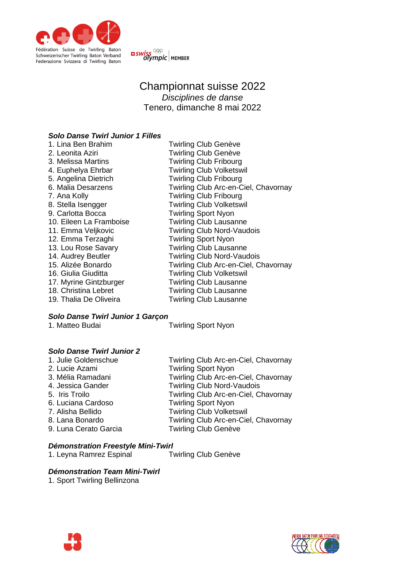



# Championnat suisse 2022 *Disciplines de danse* Tenero, dimanche 8 mai 2022

# *Solo Danse Twirl Junior 1 Filles*

| 1. Lina Ben Brahim      | Twirling Club Genève                 |
|-------------------------|--------------------------------------|
| 2. Leonita Aziri        | <b>Twirling Club Genève</b>          |
| 3. Melissa Martins      | <b>Twirling Club Fribourg</b>        |
| 4. Euphelya Ehrbar      | <b>Twirling Club Volketswil</b>      |
| 5. Angelina Dietrich    | <b>Twirling Club Fribourg</b>        |
| 6. Malia Desarzens      | Twirling Club Arc-en-Ciel, Chavornay |
| 7. Ana Kolly            | <b>Twirling Club Fribourg</b>        |
| 8. Stella Isengger      | <b>Twirling Club Volketswil</b>      |
| 9. Carlotta Bocca       | <b>Twirling Sport Nyon</b>           |
| 10. Eileen La Framboise | <b>Twirling Club Lausanne</b>        |
| 11. Emma Veljkovic      | <b>Twirling Club Nord-Vaudois</b>    |
| 12. Emma Terzaghi       | <b>Twirling Sport Nyon</b>           |
| 13. Lou Rose Savary     | <b>Twirling Club Lausanne</b>        |
| 14. Audrey Beutler      | <b>Twirling Club Nord-Vaudois</b>    |
| 15. Alizée Bonardo      | Twirling Club Arc-en-Ciel, Chavornay |
| 16. Giulia Giuditta     | <b>Twirling Club Volketswil</b>      |
| 17. Myrine Gintzburger  | <b>Twirling Club Lausanne</b>        |
| 18. Christina Lebret    | <b>Twirling Club Lausanne</b>        |
| 19. Thalia De Oliveira  | <b>Twirling Club Lausanne</b>        |
|                         |                                      |

# *Solo Danse Twirl Junior 1 Garçon*

**Twirling Sport Nyon** 

# *Solo Danse Twirl Junior 2*

| 1. Julie Goldenschue  | Twirling Club Arc-en-Ciel, Chavornay |
|-----------------------|--------------------------------------|
| 2. Lucie Azami        | <b>Twirling Sport Nyon</b>           |
| 3. Mélia Ramadani     | Twirling Club Arc-en-Ciel, Chavornay |
| 4. Jessica Gander     | <b>Twirling Club Nord-Vaudois</b>    |
| 5. Iris Troilo        | Twirling Club Arc-en-Ciel, Chavornay |
| 6. Luciana Cardoso    | <b>Twirling Sport Nyon</b>           |
| 7. Alisha Bellido     | <b>Twirling Club Volketswil</b>      |
| 8. Lana Bonardo       | Twirling Club Arc-en-Ciel, Chavornay |
| 9. Luna Cerato Garcia | <b>Twirling Club Genève</b>          |
|                       |                                      |

# *Démonstration Freestyle Mini-Twirl*

1. Leyna Ramrez Espinal

# *Démonstration Team Mini-Twirl*

1. Sport Twirling Bellinzona